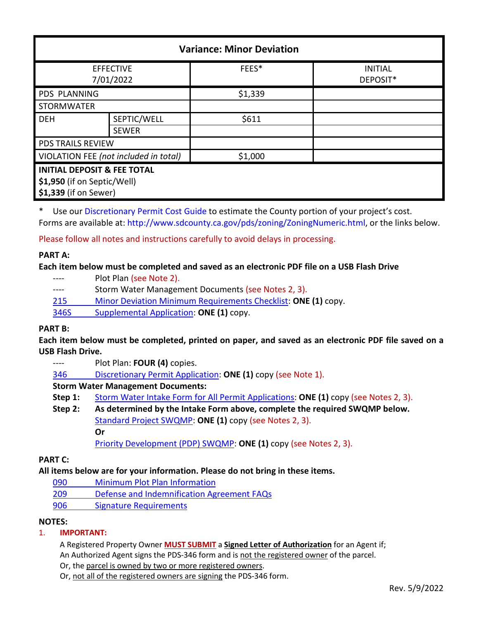| <b>Variance: Minor Deviation</b>       |              |         |                            |  |  |
|----------------------------------------|--------------|---------|----------------------------|--|--|
| <b>EFFECTIVE</b><br>7/01/2022          |              | FEES*   | <b>INITIAL</b><br>DEPOSIT* |  |  |
| <b>PDS PLANNING</b>                    |              | \$1,339 |                            |  |  |
| <b>STORMWATER</b>                      |              |         |                            |  |  |
| <b>DEH</b>                             | SEPTIC/WELL  | \$611   |                            |  |  |
|                                        | <b>SEWER</b> |         |                            |  |  |
| <b>PDS TRAILS REVIEW</b>               |              |         |                            |  |  |
| VIOLATION FEE (not included in total)  |              | \$1,000 |                            |  |  |
| <b>INITIAL DEPOSIT &amp; FEE TOTAL</b> |              |         |                            |  |  |
| \$1,950 (if on Septic/Well)            |              |         |                            |  |  |
| \$1,339 (if on Sewer)                  |              |         |                            |  |  |

\* Use our [Discretionary Permit Cost Guide](http://www.sandiegocounty.gov/content/dam/sdc/pds/docs/Discretionary_Permit_Cost_Guide.xlsx) to estimate the County portion of your project's cost. Forms are available at[: http://www.sdcounty.ca.gov/pds/zoning/ZoningNumeric.html,](http://www.sdcounty.ca.gov/pds/zoning/ZoningNumeric.html) or the links below.

Please follow all notes and instructions carefully to avoid delays in processing.

# **PART A:**

### **Each item below must be completed and saved as an electronic PDF file on a USB Flash Drive**

- ---- Plot Plan (see Note 2).
- ---- Storm Water Management Documents (see Notes 2, 3).
- 215 [Minor Deviation Minimum Requirements Checklist:](http://www.sdcounty.ca.gov/pds/zoning/formfields/PDS-PLN-215.pdf) **ONE (1)** copy.
- [346S Supplemental Application:](http://www.sdcounty.ca.gov/pds/zoning/formfields/PDS-PLN-346S.pdf) **ONE (1)** copy.

#### **PART B:**

**Each item below must be completed, printed on paper, and saved as an electronic PDF file saved on a USB Flash Drive.**

- ---- Plot Plan: **FOUR (4)** copies.
- 346 [Discretionary Permit Application:](http://www.sdcounty.ca.gov/pds/zoning/formfields/PDS-PLN-346.pdf) **ONE (1)** copy (see Note 1).

# **Storm Water Management Documents:**

- **Step 1:** [Storm Water Intake Form for All Permit Applications:](http://www.sandiegocounty.gov/content/dam/sdc/pds/zoning/formfields/SWQMP-Intake-Form.pdf) **ONE (1)** copy (see Notes 2, 3).
- **Step 2: As determined by the Intake Form above, complete the required SWQMP below.** [Standard Project SWQMP:](http://www.sandiegocounty.gov/content/dam/sdc/pds/zoning/formfields/SWQMP-Standard.pdf) **ONE (1)** copy (see Notes 2, 3). **Or** [Priority Development \(PDP\) SWQMP:](https://www.sandiegocounty.gov/content/sdc/dpw/watersheds/DevelopmentandConstruction/BMP_Design_Manual.html) **ONE (1)** copy (see Notes 2, 3).

# **PART C:**

# **All items below are for your information. Please do not bring in these items.**

- [090 Minimum Plot Plan Information](http://www.sdcounty.ca.gov/pds/docs/pds090.pdf)
- 209 [Defense and Indemnification Agreement FAQs](http://www.sdcounty.ca.gov/pds/zoning/formfields/PDS-PLN-209.pdf)
- [906 Signature Requirements](http://www.sdcounty.ca.gov/pds/zoning/formfields/PDS-PLN-906.pdf)

#### **NOTES:**

#### 1. **IMPORTANT:**

A Registered Property Owner **MUST SUBMIT** a **Signed Letter of Authorization** for an Agent if;

An Authorized Agent signs the PDS-346 form and is not the registered owner of the parcel.

Or, the parcel is owned by two or more registered owners.

Or, not all of the registered owners are signing the PDS-346 form.